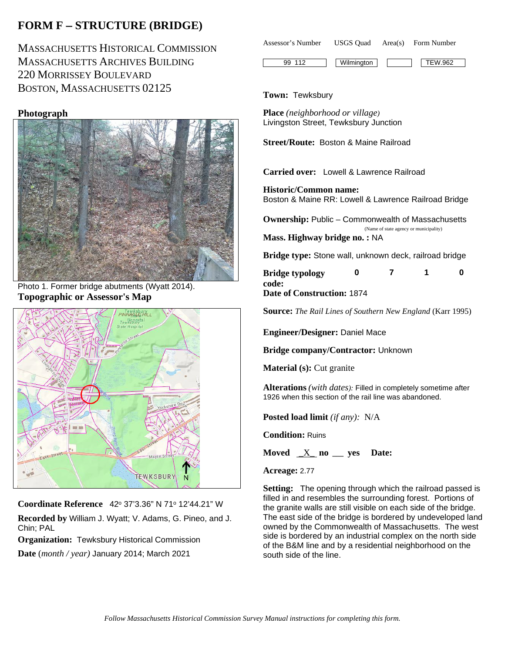# **FORM F** − **STRUCTURE (BRIDGE)**

MASSACHUSETTS HISTORICAL COMMISSION MASSACHUSETTS ARCHIVES BUILDING 220 MORRISSEY BOULEVARD BOSTON, MASSACHUSETTS 02125

## **Photograph**



Photo 1. Former bridge abutments (Wyatt 2014). **Topographic or Assessor's Map**



**Coordinate Reference** 42o 37'3.36" N 71o 12'44.21" W

**Recorded by** William J. Wyatt; V. Adams, G. Pineo, and J. Chin; PAL

**Organization:** Tewksbury Historical Commission

**Date** (*month / year)* January 2014; March 2021

| Assessor's Number | USGS Ouad | Area(s) Form Number |  |
|-------------------|-----------|---------------------|--|
|                   |           |                     |  |

99 112 Wilmington TEW.962

**Town:** Tewksbury

**Place** *(neighborhood or village)* Livingston Street, Tewksbury Junction

**Street/Route:** Boston & Maine Railroad

**Carried over:** Lowell & Lawrence Railroad

**Historic/Common name:** Boston & Maine RR: Lowell & Lawrence Railroad Bridge

**Ownership:** Public – Commonwealth of Massachusetts

 (Name of state agency or municipality) **Mass. Highway bridge no. :** NA

**Bridge type:** Stone wall, unknown deck, railroad bridge

| <b>Bridge typology</b>     |  |  |
|----------------------------|--|--|
| code:                      |  |  |
| Date of Construction: 1874 |  |  |

**Source:** *The Rail Lines of Southern New England* (Karr 1995)

**Engineer/Designer:** Daniel Mace

**Bridge company/Contractor:** Unknown

**Material (s):** Cut granite

**Alterations** *(with dates):* Filled in completely sometime after 1926 when this section of the rail line was abandoned.

**Posted load limit** *(if any):* N/A

**Condition:** Ruins

**Moved** \_X\_ **no \_\_\_ yes Date:**

**Acreage:** 2.77

**Setting:** The opening through which the railroad passed is filled in and resembles the surrounding forest. Portions of the granite walls are still visible on each side of the bridge. The east side of the bridge is bordered by undeveloped land owned by the Commonwealth of Massachusetts. The west side is bordered by an industrial complex on the north side of the B&M line and by a residential neighborhood on the south side of the line.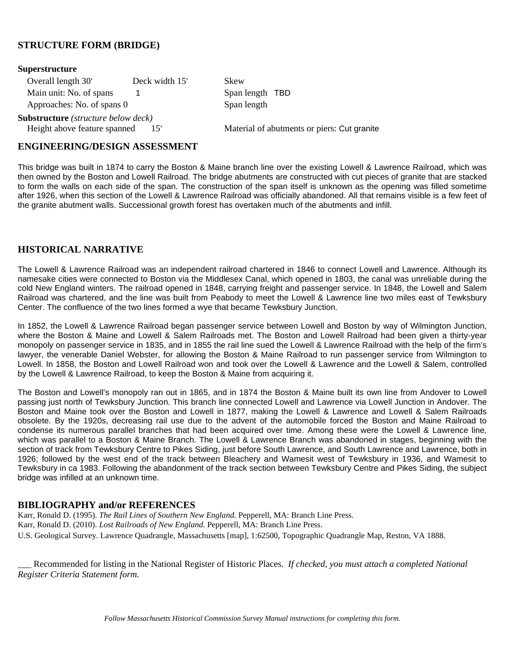## **STRUCTURE FORM (BRIDGE)**

| Superstructure                                      |                |                                             |
|-----------------------------------------------------|----------------|---------------------------------------------|
| Overall length 30'                                  | Deck width 15' | Skew                                        |
| Main unit: No. of spans                             |                | Span length TBD                             |
| Approaches: No. of spans 0                          |                | Span length                                 |
| <b>Substructure</b> ( <i>structure below deck</i> ) |                |                                             |
| Height above feature spanned                        | 15'            | Material of abutments or piers: Cut granite |

#### **ENGINEERING/DESIGN ASSESSMENT**

This bridge was built in 1874 to carry the Boston & Maine branch line over the existing Lowell & Lawrence Railroad, which was then owned by the Boston and Lowell Railroad. The bridge abutments are constructed with cut pieces of granite that are stacked to form the walls on each side of the span. The construction of the span itself is unknown as the opening was filled sometime after 1926, when this section of the Lowell & Lawrence Railroad was officially abandoned. All that remains visible is a few feet of the granite abutment walls. Successional growth forest has overtaken much of the abutments and infill.

### **HISTORICAL NARRATIVE**

The Lowell & Lawrence Railroad was an independent railroad chartered in 1846 to connect Lowell and Lawrence. Although its namesake cities were connected to Boston via the Middlesex Canal, which opened in 1803, the canal was unreliable during the cold New England winters. The railroad opened in 1848, carrying freight and passenger service. In 1848, the Lowell and Salem Railroad was chartered, and the line was built from Peabody to meet the Lowell & Lawrence line two miles east of Tewksbury Center. The confluence of the two lines formed a wye that became Tewksbury Junction.

In 1852, the Lowell & Lawrence Railroad began passenger service between Lowell and Boston by way of Wilmington Junction, where the Boston & Maine and Lowell & Salem Railroads met. The Boston and Lowell Railroad had been given a thirty-year monopoly on passenger service in 1835, and in 1855 the rail line sued the Lowell & Lawrence Railroad with the help of the firm's lawyer, the venerable Daniel Webster, for allowing the Boston & Maine Railroad to run passenger service from Wilmington to Lowell. In 1858, the Boston and Lowell Railroad won and took over the Lowell & Lawrence and the Lowell & Salem, controlled by the Lowell & Lawrence Railroad, to keep the Boston & Maine from acquiring it.

The Boston and Lowell's monopoly ran out in 1865, and in 1874 the Boston & Maine built its own line from Andover to Lowell passing just north of Tewksbury Junction. This branch line connected Lowell and Lawrence via Lowell Junction in Andover. The Boston and Maine took over the Boston and Lowell in 1877, making the Lowell & Lawrence and Lowell & Salem Railroads obsolete. By the 1920s, decreasing rail use due to the advent of the automobile forced the Boston and Maine Railroad to condense its numerous parallel branches that had been acquired over time. Among these were the Lowell & Lawrence line, which was parallel to a Boston & Maine Branch. The Lowell & Lawrence Branch was abandoned in stages, beginning with the section of track from Tewksbury Centre to Pikes Siding, just before South Lawrence, and South Lawrence and Lawrence, both in 1926; followed by the west end of the track between Bleachery and Wamesit west of Tewksbury in 1936, and Wamesit to Tewksbury in ca 1983. Following the abandonment of the track section between Tewksbury Centre and Pikes Siding, the subject bridge was infilled at an unknown time.

### **BIBLIOGRAPHY and/or REFERENCES**

Karr, Ronald D. (1995). *The Rail Lines of Southern New England.* Pepperell, MA: Branch Line Press. Karr, Ronald D. (2010). *Lost Railroads of New England.* Pepperell, MA: Branch Line Press. U.S. Geological Survey. Lawrence Quadrangle, Massachusetts [map], 1:62500, Topographic Quadrangle Map, Reston, VA 1888.

\_\_\_ Recommended for listing in the National Register of Historic Places. *If checked, you must attach a completed National Register Criteria Statement form.*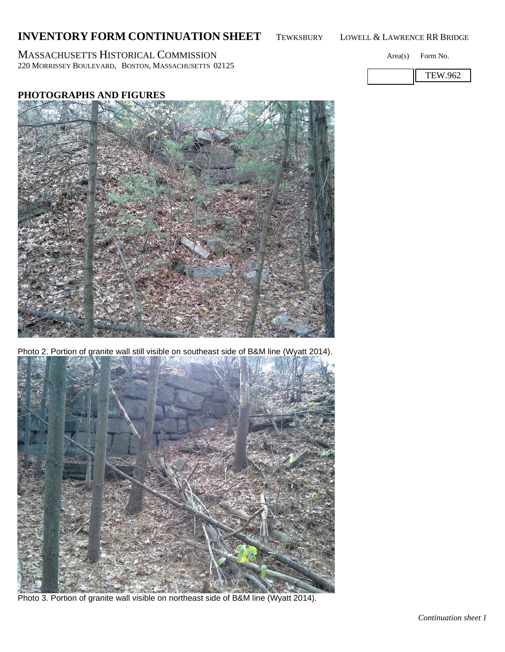## **INVENTORY FORM CONTINUATION SHEET** TEWKSBURY LOWELL & LAWRENCE RR BRIDGE

MASSACHUSETTS HISTORICAL COMMISSION Area(s) Form No. 220 MORRISSEY BOULEVARD, BOSTON, MASSACHUSETTS 02125

## **PHOTOGRAPHS AND FIGURES**

Photo 2. Portion of granite wall still visible on southeast side of B&M line (Wyatt 2014).



Photo 3. Portion of granite wall visible on northeast side of B&M line (Wyatt 2014).





TEW.962